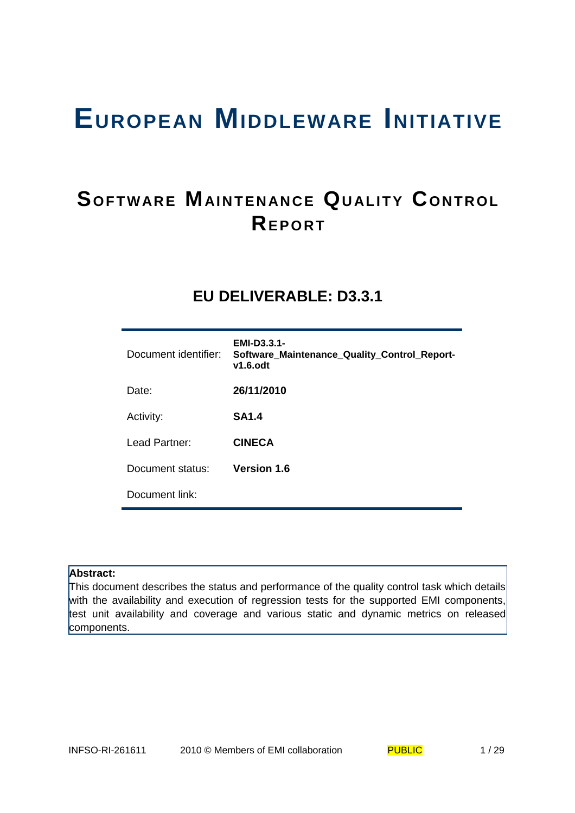# **EUROPEAN MIDDLEWARE INITIATIVE**

# **SOFTWARE MAINTENANCE QUALITY CONTROL REP O RT**

## **EU DELIVERABLE: D3.3.1**

| Document identifier: | EMI-D3.3.1-<br>Software_Maintenance_Quality_Control_Report-<br>$v1.6.$ odt |
|----------------------|----------------------------------------------------------------------------|
| Date:                | 26/11/2010                                                                 |
| Activity:            | <b>SA1.4</b>                                                               |
| Lead Partner:        | <b>CINECA</b>                                                              |
| Document status:     | <b>Version 1.6</b>                                                         |
| Document link:       |                                                                            |

#### **Abstract:**

This document describes the status and performance of the quality control task which details with the availability and execution of regression tests for the supported EMI components, test unit availability and coverage and various static and dynamic metrics on released components.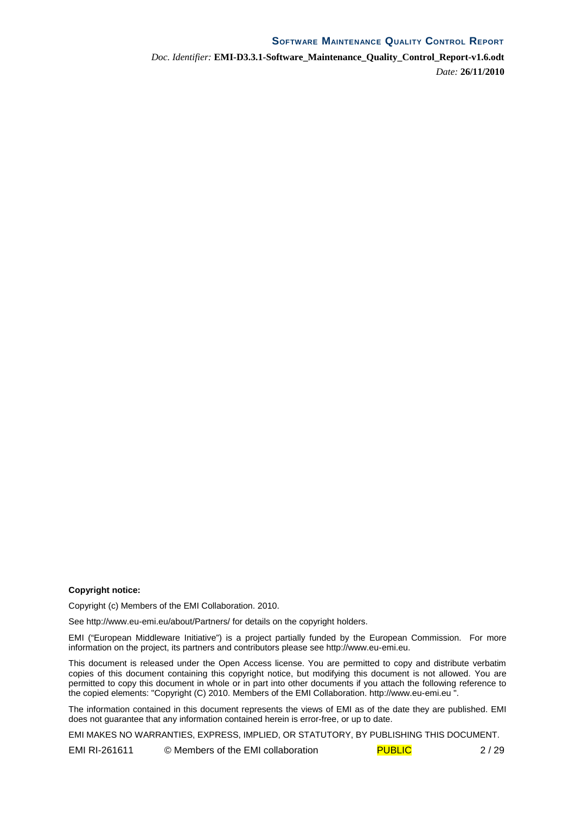*Doc. Identifier:* **EMI-D3.3.1-Software\_Maintenance\_Quality\_Control\_Report-v1.6.odt** *Date:* **26/11/2010**

#### **Copyright notice:**

Copyright (c) Members of the EMI Collaboration. 2010.

See http://www.eu-emi.eu/about/Partners/ for details on the copyright holders.

EMI ("European Middleware Initiative") is a project partially funded by the European Commission. For more information on the project, its partners and contributors please see http://www.eu-emi.eu.

This document is released under the Open Access license. You are permitted to copy and distribute verbatim copies of this document containing this copyright notice, but modifying this document is not allowed. You are permitted to copy this document in whole or in part into other documents if you attach the following reference to the copied elements: "Copyright (C) 2010. Members of the EMI Collaboration. http://www.eu-emi.eu ".

The information contained in this document represents the views of EMI as of the date they are published. EMI does not guarantee that any information contained herein is error-free, or up to date.

EMI MAKES NO WARRANTIES, EXPRESS, IMPLIED, OR STATUTORY, BY PUBLISHING THIS DOCUMENT.

EMI RI-261611 © Members of the EMI collaboration PUBLIC 2 / 29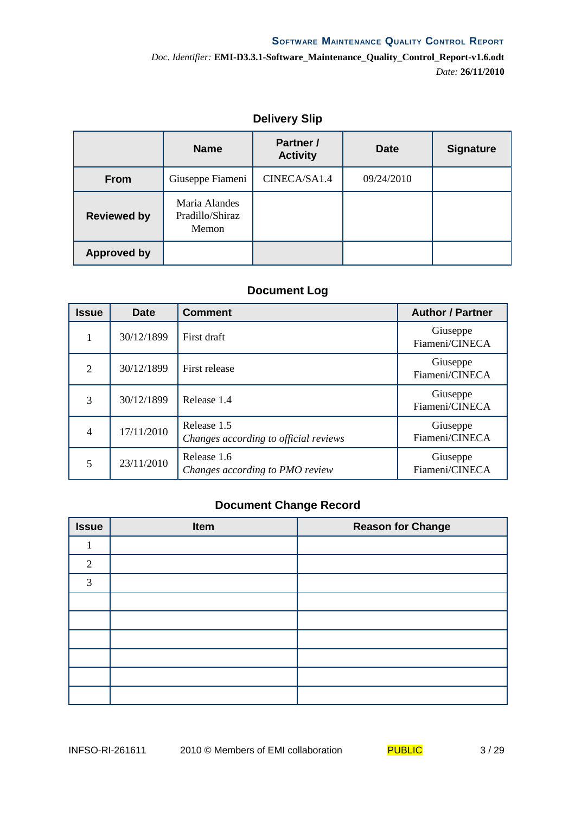## **SOFTWARE MAINTENANCE QUALITY CONTROL REPORT** *Doc. Identifier:* **EMI-D3.3.1-Software\_Maintenance\_Quality\_Control\_Report-v1.6.odt** *Date:* **26/11/2010**

## **Delivery Slip**

|                    | <b>Name</b>                               | <b>Partner /</b><br><b>Activity</b> | Date       | <b>Signature</b> |
|--------------------|-------------------------------------------|-------------------------------------|------------|------------------|
| From               | Giuseppe Fiameni                          | CINECA/SA1.4                        | 09/24/2010 |                  |
| <b>Reviewed by</b> | Maria Alandes<br>Pradillo/Shiraz<br>Memon |                                     |            |                  |
| <b>Approved by</b> |                                           |                                     |            |                  |

## **Document Log**

| <b>Issue</b>   | Date       | <b>Comment</b>                                       | <b>Author / Partner</b>    |
|----------------|------------|------------------------------------------------------|----------------------------|
| 1              | 30/12/1899 | First draft                                          | Giuseppe<br>Fiameni/CINECA |
| $\overline{2}$ | 30/12/1899 | First release                                        | Giuseppe<br>Fiameni/CINECA |
| 3              | 30/12/1899 | Release 1.4                                          | Giuseppe<br>Fiameni/CINECA |
| $\overline{4}$ | 17/11/2010 | Release 1.5<br>Changes according to official reviews | Giuseppe<br>Fiameni/CINECA |
| 5              | 23/11/2010 | Release 1.6<br>Changes according to PMO review       | Giuseppe<br>Fiameni/CINECA |

## **Document Change Record**

| <b>Issue</b> | Item | <b>Reason for Change</b> |
|--------------|------|--------------------------|
| 1            |      |                          |
| 2            |      |                          |
| 3            |      |                          |
|              |      |                          |
|              |      |                          |
|              |      |                          |
|              |      |                          |
|              |      |                          |
|              |      |                          |

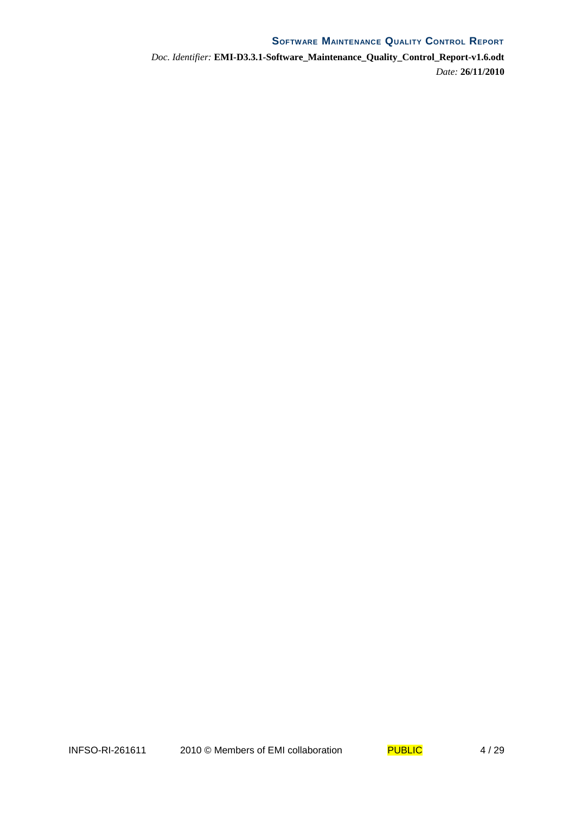*Doc. Identifier:* **EMI-D3.3.1-Software\_Maintenance\_Quality\_Control\_Report-v1.6.odt** *Date:* **26/11/2010**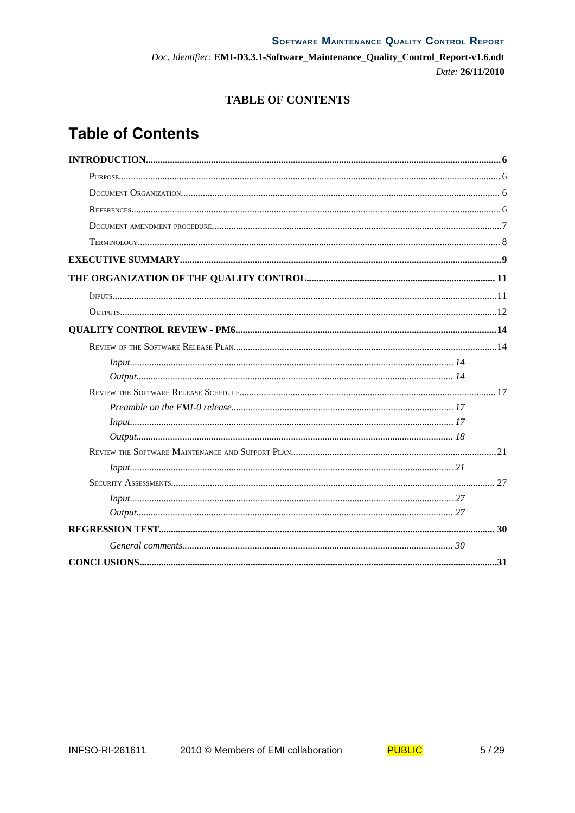## SOFTWARE MAINTENANCE QUALITY CONTROL REPORT Doc. Identifier: EMI-D3.3.1-Software\_Maintenance\_Quality\_Control\_Report-v1.6.odt Date: 26/11/2010

## **TABLE OF CONTENTS**

## **Table of Contents**

| Input 21 |  |
|----------|--|
|          |  |
| Input 27 |  |
|          |  |
|          |  |
|          |  |
|          |  |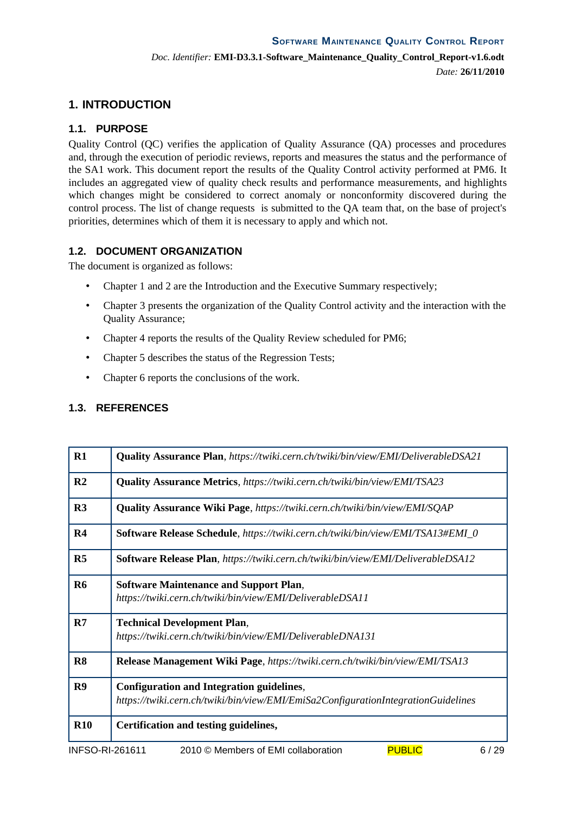## **1. INTRODUCTION**

## **1.1. PURPOSE**

Quality Control (QC) verifies the application of Quality Assurance (QA) processes and procedures and, through the execution of periodic reviews, reports and measures the status and the performance of the SA1 work. This document report the results of the Quality Control activity performed at PM6. It includes an aggregated view of quality check results and performance measurements, and highlights which changes might be considered to correct anomaly or nonconformity discovered during the control process. The list of change requests is submitted to the QA team that, on the base of project's priorities, determines which of them it is necessary to apply and which not.

## **1.2. DOCUMENT ORGANIZATION**

The document is organized as follows:

- Chapter 1 and 2 are the Introduction and the Executive Summary respectively;
- Chapter 3 presents the organization of the Quality Control activity and the interaction with the Quality Assurance;
- Chapter 4 reports the results of the Quality Review scheduled for PM6;
- Chapter 5 describes the status of the Regression Tests;
- Chapter 6 reports the conclusions of the work.

## **1.3. REFERENCES**

| $R1$           | <b>Quality Assurance Plan, https://twiki.cern.ch/twiki/bin/view/EMI/DeliverableDSA21</b> |
|----------------|------------------------------------------------------------------------------------------|
| R <sub>2</sub> | <b>Quality Assurance Metrics</b> , https://twiki.cern.ch/twiki/bin/view/EMI/TSA23        |
| R3             | <b>Quality Assurance Wiki Page</b> , https://twiki.cern.ch/twiki/bin/view/EMI/SQAP       |
| R <sub>4</sub> | <b>Software Release Schedule</b> , https://twiki.cern.ch/twiki/bin/view/EMI/TSA13#EMI_0  |
| R <sub>5</sub> | Software Release Plan, https://twiki.cern.ch/twiki/bin/view/EMI/DeliverableDSA12         |
| R <sub>6</sub> | <b>Software Maintenance and Support Plan,</b>                                            |
|                | https://twiki.cern.ch/twiki/bin/view/EMI/DeliverableDSA11                                |
| R7             | <b>Technical Development Plan,</b>                                                       |
|                | https://twiki.cern.ch/twiki/bin/view/EMI/DeliverableDNA131                               |
| R <sub>8</sub> | <b>Release Management Wiki Page</b> , https://twiki.cern.ch/twiki/bin/view/EMI/TSA13     |
| R9             | <b>Configuration and Integration guidelines,</b>                                         |
|                | https://twiki.cern.ch/twiki/bin/view/EMI/EmiSa2ConfigurationIntegrationGuidelines        |
| <b>R10</b>     | Certification and testing guidelines,                                                    |
|                | <b>BURNER</b>                                                                            |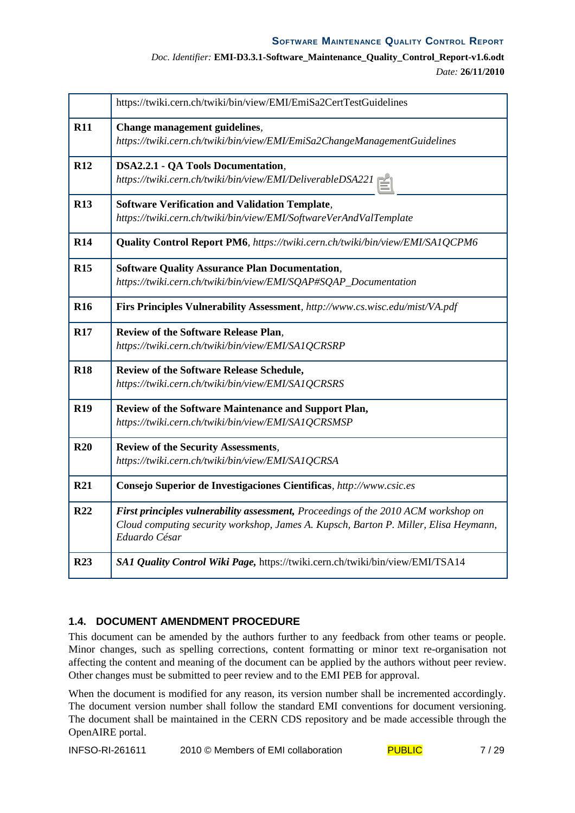## *Doc. Identifier:* **EMI-D3.3.1-Software\_Maintenance\_Quality\_Control\_Report-v1.6.odt** *Date:* **26/11/2010**

|            | https://twiki.cern.ch/twiki/bin/view/EMI/EmiSa2CertTestGuidelines                                                                                                                           |
|------------|---------------------------------------------------------------------------------------------------------------------------------------------------------------------------------------------|
| <b>R11</b> | Change management guidelines,<br>https://twiki.cern.ch/twiki/bin/view/EMI/EmiSa2ChangeManagementGuidelines                                                                                  |
| <b>R12</b> | <b>DSA2.2.1 - QA Tools Documentation,</b><br>https://twiki.cern.ch/twiki/bin/view/EMI/DeliverableDSA221                                                                                     |
| <b>R13</b> | <b>Software Verification and Validation Template,</b><br>https://twiki.cern.ch/twiki/bin/view/EMI/SoftwareVerAndValTemplate                                                                 |
| <b>R14</b> | Quality Control Report PM6, https://twiki.cern.ch/twiki/bin/view/EMI/SA1QCPM6                                                                                                               |
| R15        | <b>Software Quality Assurance Plan Documentation,</b><br>https://twiki.cern.ch/twiki/bin/view/EMI/SQAP#SQAP_Documentation                                                                   |
| <b>R16</b> | Firs Principles Vulnerability Assessment, http://www.cs.wisc.edu/mist/VA.pdf                                                                                                                |
| <b>R17</b> | <b>Review of the Software Release Plan,</b><br>https://twiki.cern.ch/twiki/bin/view/EMI/SA1QCRSRP                                                                                           |
| <b>R18</b> | <b>Review of the Software Release Schedule,</b><br>https://twiki.cern.ch/twiki/bin/view/EMI/SA1QCRSRS                                                                                       |
| <b>R19</b> | Review of the Software Maintenance and Support Plan,<br>https://twiki.cern.ch/twiki/bin/view/EMI/SA1QCRSMSP                                                                                 |
| R20        | <b>Review of the Security Assessments,</b><br>https://twiki.cern.ch/twiki/bin/view/EMI/SA1QCRSA                                                                                             |
| R21        | Consejo Superior de Investigaciones Cientificas, http://www.csic.es                                                                                                                         |
| <b>R22</b> | First principles vulnerability assessment, Proceedings of the 2010 ACM workshop on<br>Cloud computing security workshop, James A. Kupsch, Barton P. Miller, Elisa Heymann,<br>Eduardo César |
| <b>R23</b> | SA1 Quality Control Wiki Page, https://twiki.cern.ch/twiki/bin/view/EMI/TSA14                                                                                                               |

## **1.4. DOCUMENT AMENDMENT PROCEDURE**

This document can be amended by the authors further to any feedback from other teams or people. Minor changes, such as spelling corrections, content formatting or minor text re-organisation not affecting the content and meaning of the document can be applied by the authors without peer review. Other changes must be submitted to peer review and to the EMI PEB for approval.

When the document is modified for any reason, its version number shall be incremented accordingly. The document version number shall follow the standard EMI conventions for document versioning. The document shall be maintained in the CERN CDS repository and be made accessible through the OpenAIRE portal.

| INFSO-RI-261611 | 2010 © Members of EMI collaboration | <b>PUBLIC</b> | 7 / 29 |
|-----------------|-------------------------------------|---------------|--------|
|-----------------|-------------------------------------|---------------|--------|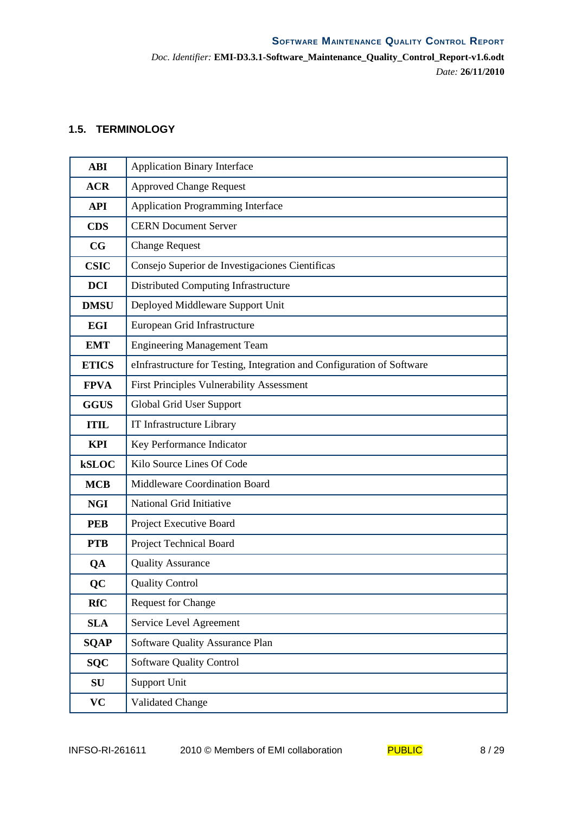## **1.5. TERMINOLOGY**

| <b>ABI</b>      | <b>Application Binary Interface</b>                                    |
|-----------------|------------------------------------------------------------------------|
| <b>ACR</b>      | <b>Approved Change Request</b>                                         |
| <b>API</b>      | <b>Application Programming Interface</b>                               |
| <b>CDS</b>      | <b>CERN Document Server</b>                                            |
| $\mathbf{CG}$   | <b>Change Request</b>                                                  |
| <b>CSIC</b>     | Consejo Superior de Investigaciones Científicas                        |
| <b>DCI</b>      | Distributed Computing Infrastructure                                   |
| <b>DMSU</b>     | Deployed Middleware Support Unit                                       |
| EGI             | European Grid Infrastructure                                           |
| <b>EMT</b>      | <b>Engineering Management Team</b>                                     |
| <b>ETICS</b>    | eInfrastructure for Testing, Integration and Configuration of Software |
| <b>FPVA</b>     | <b>First Principles Vulnerability Assessment</b>                       |
| <b>GGUS</b>     | Global Grid User Support                                               |
| <b>ITIL</b>     | IT Infrastructure Library                                              |
| <b>KPI</b>      | Key Performance Indicator                                              |
| <b>kSLOC</b>    | Kilo Source Lines Of Code                                              |
| <b>MCB</b>      | Middleware Coordination Board                                          |
| <b>NGI</b>      | National Grid Initiative                                               |
| <b>PEB</b>      | Project Executive Board                                                |
| <b>PTB</b>      | Project Technical Board                                                |
| QA              | <b>Quality Assurance</b>                                               |
| $\overline{OC}$ | <b>Quality Control</b>                                                 |
| <b>RfC</b>      | <b>Request for Change</b>                                              |
| <b>SLA</b>      | Service Level Agreement                                                |
| <b>SQAP</b>     | Software Quality Assurance Plan                                        |
| <b>SQC</b>      | <b>Software Quality Control</b>                                        |
| SU              | Support Unit                                                           |
| <b>VC</b>       | <b>Validated Change</b>                                                |

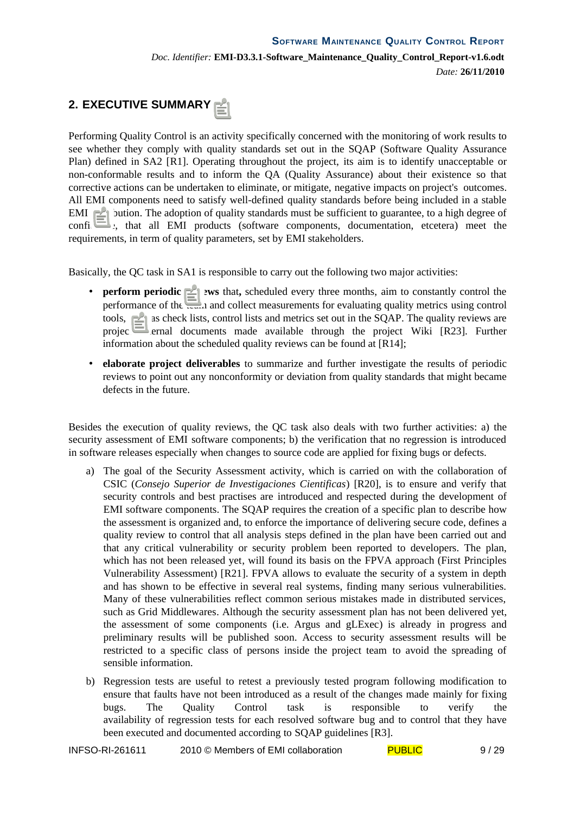## **2. EXECUTIVE SUMMARY**

Performing Quality Control is an activity specifically concerned with the monitoring of work results to see whether they comply with quality standards set out in the SQAP (Software Quality Assurance Plan) defined in SA2 [R1]. Operating throughout the project, its aim is to identify unacceptable or non-conformable results and to inform the QA (Quality Assurance) about their existence so that corrective actions can be undertaken to eliminate, or mitigate, negative impacts on project's outcomes. All EMI components need to satisfy well-defined quality standards before being included in a stable EMI distribution. The adoption of quality standards must be sufficient to guarantee, to a high degree of confidence, that all EMI products (software components, documentation, etcetera) meet the requirements, in term of quality parameters, set by EMI stakeholders.

Basically, the QC task in SA1 is responsible to carry out the following two major activities:

- **perform periodic reviews** that, scheduled every three months, aim to constantly control the performance of the team and collect measurements for evaluating quality metrics using control tools, such as check lists, control lists and metrics set out in the SQAP. The quality reviews are project internal documents made available through the project Wiki [R23]. Further information about the scheduled quality reviews can be found at [R14];
- **elaborate project deliverables** to summarize and further investigate the results of periodic reviews to point out any nonconformity or deviation from quality standards that might became defects in the future.

Besides the execution of quality reviews, the QC task also deals with two further activities: a) the security assessment of EMI software components; b) the verification that no regression is introduced in software releases especially when changes to source code are applied for fixing bugs or defects.

- a) The goal of the Security Assessment activity, which is carried on with the collaboration of CSIC (*Consejo Superior de Investigaciones Cientificas*) [R20], is to ensure and verify that security controls and best practises are introduced and respected during the development of EMI software components. The SQAP requires the creation of a specific plan to describe how the assessment is organized and, to enforce the importance of delivering secure code, defines a quality review to control that all analysis steps defined in the plan have been carried out and that any critical vulnerability or security problem been reported to developers. The plan, which has not been released yet, will found its basis on the FPVA approach (First Principles Vulnerability Assessment) [R21]. FPVA allows to evaluate the security of a system in depth and has shown to be effective in several real systems, finding many serious vulnerabilities. Many of these vulnerabilities reflect common serious mistakes made in distributed services, such as Grid Middlewares. Although the security assessment plan has not been delivered yet, the assessment of some components (i.e. Argus and gLExec) is already in progress and preliminary results will be published soon. Access to security assessment results will be restricted to a specific class of persons inside the project team to avoid the spreading of sensible information.
- b) Regression tests are useful to retest a previously tested program following modification to ensure that faults have not been introduced as a result of the changes made mainly for fixing bugs. The Quality Control task is responsible to verify availability of regression tests for each resolved software bug and to control that they have been executed and documented according to SQAP guidelines [R3].

INFSO-RI-261611 2010 © Members of EMI collaboration  $PUBLIC$  9/29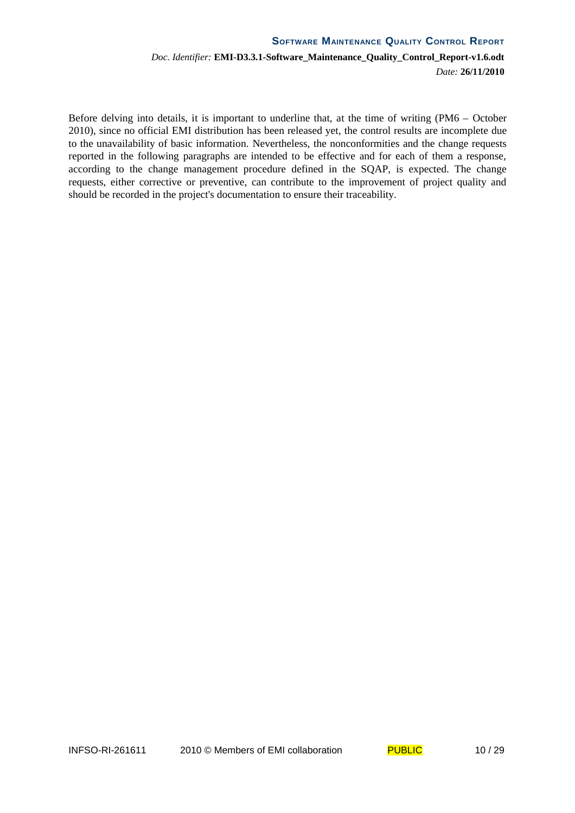## **SOFTWARE MAINTENANCE QUALITY CONTROL REPORT** *Doc. Identifier:* **EMI-D3.3.1-Software\_Maintenance\_Quality\_Control\_Report-v1.6.odt** *Date:* **26/11/2010**

Before delving into details, it is important to underline that, at the time of writing (PM6 – October 2010), since no official EMI distribution has been released yet, the control results are incomplete due to the unavailability of basic information. Nevertheless, the nonconformities and the change requests reported in the following paragraphs are intended to be effective and for each of them a response, according to the change management procedure defined in the SQAP, is expected. The change requests, either corrective or preventive, can contribute to the improvement of project quality and should be recorded in the project's documentation to ensure their traceability.

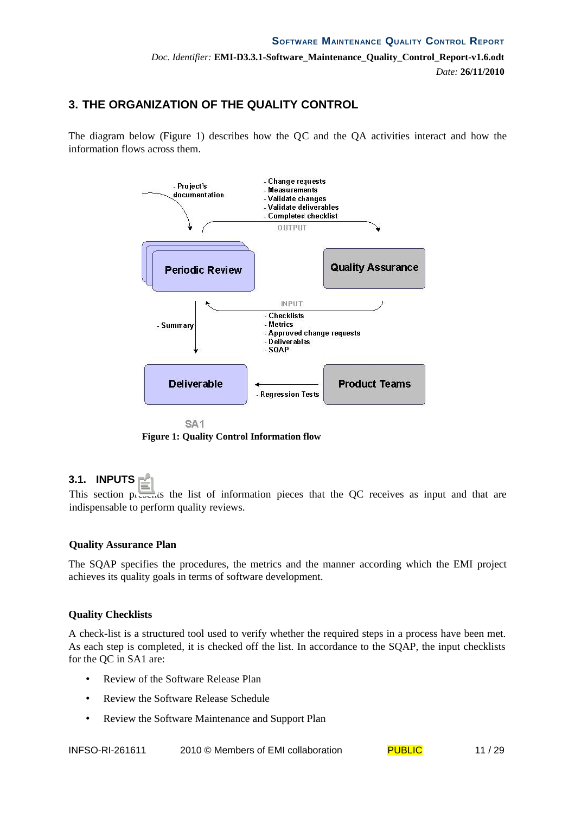## **3. THE ORGANIZATION OF THE QUALITY CONTROL**

The diagram below (Figure 1) describes how the QC and the QA activities interact and how the information flows across them.



**Figure 1: Quality Control Information flow**

## **3.1. INPUTS**

This section presents the list of information pieces that the QC receives as input and that are indispensable to perform quality reviews.

## **Quality Assurance Plan**

The SQAP specifies the procedures, the metrics and the manner according which the EMI project achieves its quality goals in terms of software development.

## **Quality Checklists**

A check-list is a structured tool used to verify whether the required steps in a process have been met. As each step is completed, it is checked off the list. In accordance to the SQAP, the input checklists for the QC in SA1 are:

- Review of the Software Release Plan
- Review the Software Release Schedule
- Review the Software Maintenance and Support Plan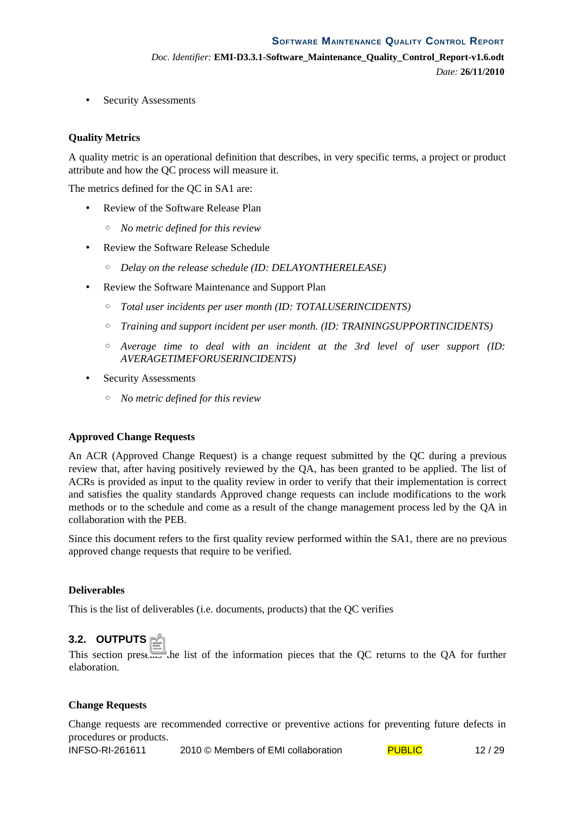*Doc. Identifier:* **EMI-D3.3.1-Software\_Maintenance\_Quality\_Control\_Report-v1.6.odt** *Date:* **26/11/2010**

• Security Assessments

#### **Quality Metrics**

A quality metric is an operational definition that describes, in very specific terms, a project or product attribute and how the QC process will measure it.

The metrics defined for the QC in SA1 are:

- Review of the Software Release Plan
	- *No metric defined for this review*
- Review the Software Release Schedule
	- *Delay on the release schedule (ID: DELAYONTHERELEASE)*
- Review the Software Maintenance and Support Plan
	- *Total user incidents per user month (ID: TOTALUSERINCIDENTS)*
	- *Training and support incident per user month. (ID: TRAININGSUPPORTINCIDENTS)*
	- *Average time to deal with an incident at the 3rd level of user support (ID: AVERAGETIMEFORUSERINCIDENTS)*
- Security Assessments
	- *No metric defined for this review*

#### **Approved Change Requests**

An ACR (Approved Change Request) is a change request submitted by the QC during a previous review that, after having positively reviewed by the QA, has been granted to be applied. The list of ACRs is provided as input to the quality review in order to verify that their implementation is correct and satisfies the quality standards Approved change requests can include modifications to the work methods or to the schedule and come as a result of the change management process led by the QA in collaboration with the PEB.

Since this document refers to the first quality review performed within the SA1, there are no previous approved change requests that require to be verified.

#### **Deliverables**

This is the list of deliverables (i.e. documents, products) that the QC verifies

#### **3.2. OUTPUTS**

This section presents the list of the information pieces that the QC returns to the QA for further elaboration.

#### **Change Requests**

Change requests are recommended corrective or preventive actions for preventing future defects in procedures or products.

| INFSO-RI-261611 | 2010 © Members of EMI collaboration | <b>PUBLIC</b> | 12/29 |
|-----------------|-------------------------------------|---------------|-------|
|-----------------|-------------------------------------|---------------|-------|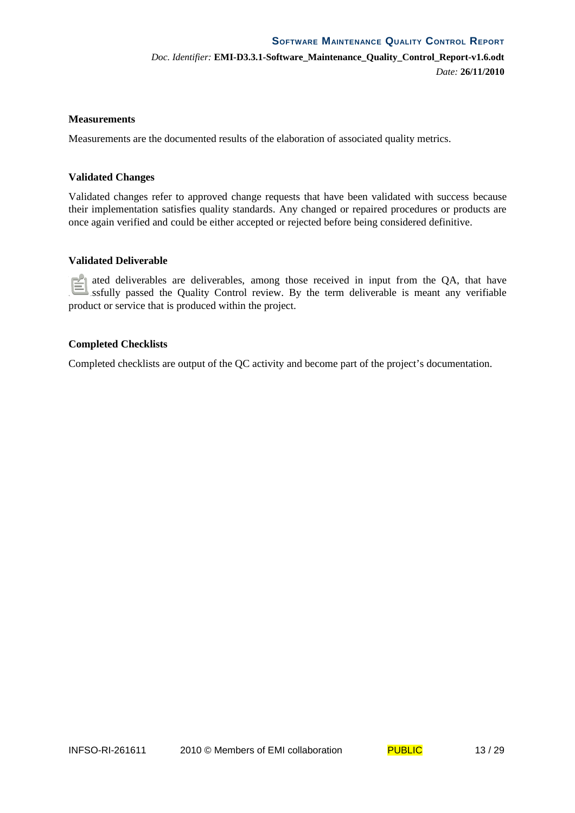#### **Measurements**

Measurements are the documented results of the elaboration of associated quality metrics.

#### **Validated Changes**

Validated changes refer to approved change requests that have been validated with success because their implementation satisfies quality standards. Any changed or repaired procedures or products are once again verified and could be either accepted or rejected before being considered definitive.

#### **Validated Deliverable**

Validated deliverables are deliverables, among those received in input from the QA, that have successfully passed the Quality Control review. By the term deliverable is meant any verifiable product or service that is produced within the project.

#### **Completed Checklists**

Completed checklists are output of the QC activity and become part of the project's documentation.

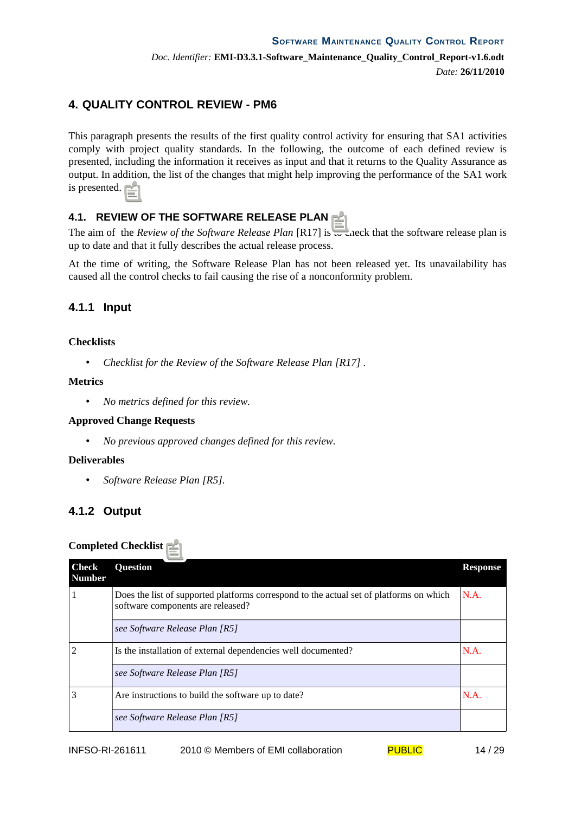## **4. QUALITY CONTROL REVIEW - PM6**

This paragraph presents the results of the first quality control activity for ensuring that SA1 activities comply with project quality standards. In the following, the outcome of each defined review is presented, including the information it receives as input and that it returns to the Quality Assurance as output. In addition, the list of the changes that might help improving the performance of the SA1 work is presented.

## **4.1. REVIEW OF THE SOFTWARE RELEASE PLAN**

The aim of the *Review of the Software Release Plan* [R17] is to check that the software release plan is up to date and that it fully describes the actual release process.

At the time of writing, the Software Release Plan has not been released yet. Its unavailability has caused all the control checks to fail causing the rise of a nonconformity problem.

## **4.1.1 Input**

## **Checklists**

• *Checklist for the Review of the Software Release Plan [R17] .*

#### **Metrics**

• *No metrics defined for this review.*

## **Approved Change Requests**

• *No previous approved changes defined for this review.*

## **Deliverables**

• *Software Release Plan [R5].*

## **4.1.2 Output**

#### **Completed Checklist**

| <b>Check</b><br><b>Number</b> | <b>Question</b>                                                                                                              | <b>Response</b> |
|-------------------------------|------------------------------------------------------------------------------------------------------------------------------|-----------------|
|                               | Does the list of supported platforms correspond to the actual set of platforms on which<br>software components are released? | N.A.            |
|                               | see Software Release Plan [R5]                                                                                               |                 |
|                               | Is the installation of external dependencies well documented?                                                                | N.A.            |
|                               | see Software Release Plan [R5]                                                                                               |                 |
|                               | Are instructions to build the software up to date?                                                                           | N.A.            |
|                               | see Software Release Plan [R5]                                                                                               |                 |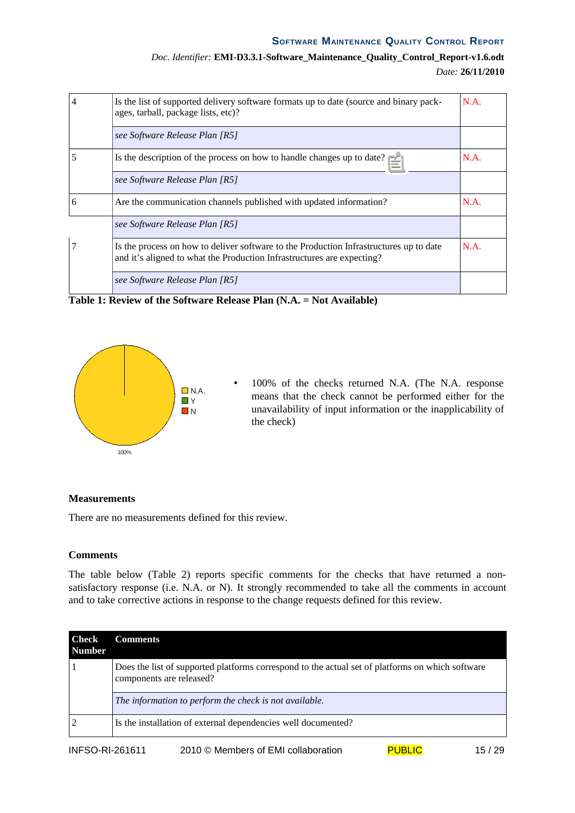| Doc. Identifier: EMI-D3.3.1-Software_Maintenance_Quality_Control_Report-v1.6.odt |  |                  |
|----------------------------------------------------------------------------------|--|------------------|
|                                                                                  |  | Date: 26/11/2010 |

| 4 | Is the list of supported delivery software formats up to date (source and binary pack-<br>ages, tarball, package lists, etc)?                                    | N.A. |
|---|------------------------------------------------------------------------------------------------------------------------------------------------------------------|------|
|   | see Software Release Plan [R5]                                                                                                                                   |      |
| 5 | Is the description of the process on how to handle changes up to date?                                                                                           | N.A. |
|   | see Software Release Plan [R5]                                                                                                                                   |      |
| 6 | Are the communication channels published with updated information?                                                                                               | N.A. |
|   | see Software Release Plan [R5]                                                                                                                                   |      |
|   | Is the process on how to deliver software to the Production Infrastructures up to date<br>and it's aligned to what the Production Infrastructures are expecting? | N.A. |
|   | see Software Release Plan [R5]                                                                                                                                   |      |

**Table 1: Review of the Software Release Plan (N.A. = Not Available)**



• 100% of the checks returned N.A. (The N.A. response means that the check cannot be performed either for the unavailability of input information or the inapplicability of the check)

## **Measurements**

There are no measurements defined for this review.

#### **Comments**

The table below (Table 2) reports specific comments for the checks that have returned a nonsatisfactory response (i.e. N.A. or N). It strongly recommended to take all the comments in account and to take corrective actions in response to the change requests defined for this review.

| Check<br>Number | <b>Comments</b>                                                                                                              |
|-----------------|------------------------------------------------------------------------------------------------------------------------------|
|                 | Does the list of supported platforms correspond to the actual set of platforms on which software<br>components are released? |
|                 | The information to perform the check is not available.                                                                       |
|                 | Is the installation of external dependencies well documented?                                                                |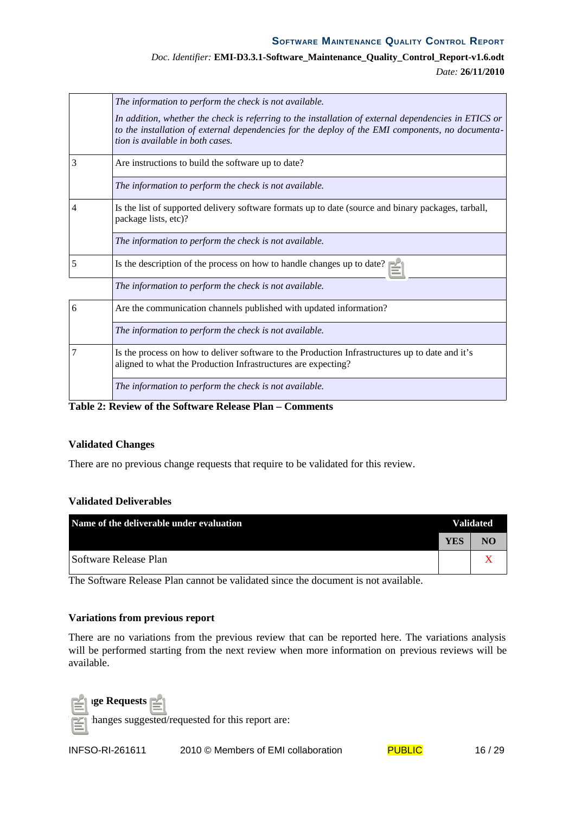#### *Doc. Identifier:* **EMI-D3.3.1-Software\_Maintenance\_Quality\_Control\_Report-v1.6.odt** *Date:* **26/11/2010**

| The information to perform the check is not available.<br>In addition, whether the check is referring to the installation of external dependencies in ETICS or<br>to the installation of external dependencies for the deploy of the EMI components, no documenta-<br>tion is available in both cases.<br>Are instructions to build the software up to date?<br>З |
|-------------------------------------------------------------------------------------------------------------------------------------------------------------------------------------------------------------------------------------------------------------------------------------------------------------------------------------------------------------------|
|                                                                                                                                                                                                                                                                                                                                                                   |
|                                                                                                                                                                                                                                                                                                                                                                   |
|                                                                                                                                                                                                                                                                                                                                                                   |
| The information to perform the check is not available.                                                                                                                                                                                                                                                                                                            |
| Is the list of supported delivery software formats up to date (source and binary packages, tarball,<br>4<br>package lists, etc)?                                                                                                                                                                                                                                  |
| The information to perform the check is not available.                                                                                                                                                                                                                                                                                                            |
| Is the description of the process on how to handle changes up to date?<br>5                                                                                                                                                                                                                                                                                       |
| The information to perform the check is not available.                                                                                                                                                                                                                                                                                                            |
| 6<br>Are the communication channels published with updated information?                                                                                                                                                                                                                                                                                           |
| The information to perform the check is not available.                                                                                                                                                                                                                                                                                                            |
| Is the process on how to deliver software to the Production Infrastructures up to date and it's<br>aligned to what the Production Infrastructures are expecting?                                                                                                                                                                                                  |
| The information to perform the check is not available.                                                                                                                                                                                                                                                                                                            |

**Table 2: Review of the Software Release Plan – Comments**

## **Validated Changes**

There are no previous change requests that require to be validated for this review.

## **Validated Deliverables**

| Name of the deliverable under evaluation |            | <b>Validated</b> |  |
|------------------------------------------|------------|------------------|--|
|                                          | <b>YES</b> | NO               |  |
| Software Release Plan                    |            |                  |  |

The Software Release Plan cannot be validated since the document is not available.

## **Variations from previous report**

There are no variations from the previous review that can be reported here. The variations analysis will be performed starting from the next review when more information on previous reviews will be available.

## **Change Requests**

The changes suggested/requested for this report are:

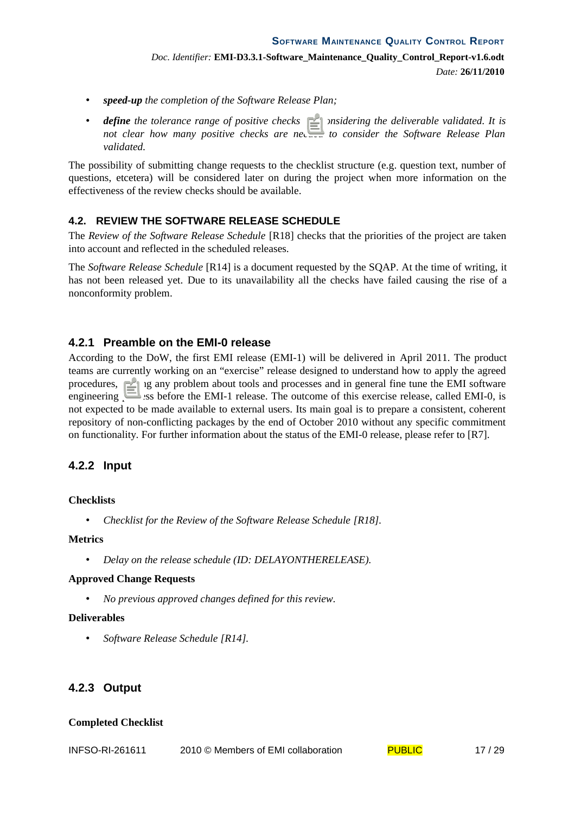- *speed-up the completion of the Software Release Plan;*
- *define the tolerance range of positive checks for considering the deliverable validated. It is not clear how many positive checks are needed to consider the Software Release Plan validated.*

The possibility of submitting change requests to the checklist structure (e.g. question text, number of questions, etcetera) will be considered later on during the project when more information on the effectiveness of the review checks should be available.

## **4.2. REVIEW THE SOFTWARE RELEASE SCHEDULE**

The *Review of the Software Release Schedule* [R18] checks that the priorities of the project are taken into account and reflected in the scheduled releases.

The *Software Release Schedule* [R14] is a document requested by the SQAP. At the time of writing, it has not been released yet. Due to its unavailability all the checks have failed causing the rise of a nonconformity problem.

## **4.2.1 Preamble on the EMI-0 release**

According to the DoW, the first EMI release (EMI-1) will be delivered in April 2011. The product teams are currently working on an "exercise" release designed to understand how to apply the agreed procedures, finding any problem about tools and processes and in general fine tune the EMI software engineering process before the EMI-1 release. The outcome of this exercise release, called EMI-0, is not expected to be made available to external users. Its main goal is to prepare a consistent, coherent repository of non-conflicting packages by the end of October 2010 without any specific commitment on functionality*.* For further information about the status of the EMI-0 release, please refer to [R7].

## **4.2.2 Input**

## **Checklists**

• *Checklist for the Review of the Software Release Schedule [R18].*

#### **Metrics**

• *Delay on the release schedule (ID: DELAYONTHERELEASE).*

## **Approved Change Requests**

• *No previous approved changes defined for this review.*

## **Deliverables**

• *Software Release Schedule [R14].*

## **4.2.3 Output**

## **Completed Checklist**

INFSO-RI-261611 2010 © Members of EMI collaboration  $PUBLIC$  17 / 29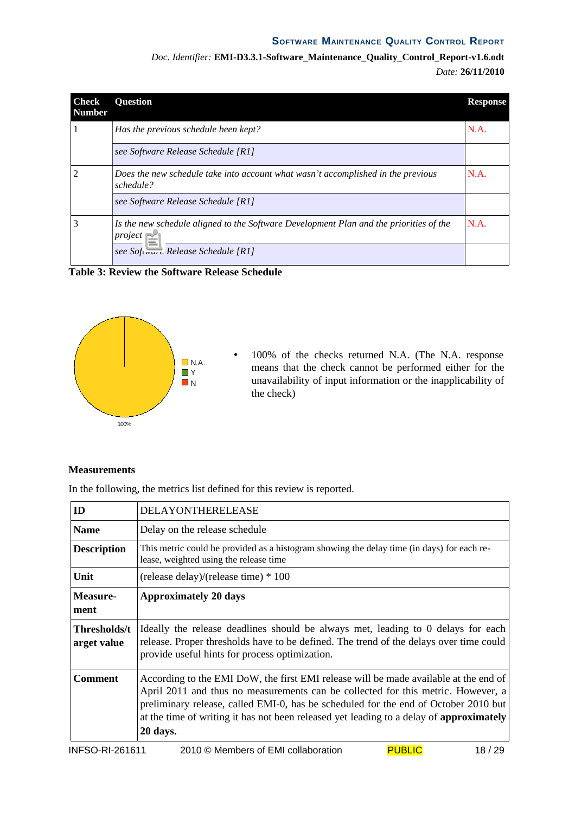*Doc. Identifier:* **EMI-D3.3.1-Software\_Maintenance\_Quality\_Control\_Report-v1.6.odt** *Date:* **26/11/2010**

| <b>Check</b><br><b>Number</b> | <b>Question</b>                                                                                    | <b>Response</b> |
|-------------------------------|----------------------------------------------------------------------------------------------------|-----------------|
|                               | Has the previous schedule been kept?                                                               | N.A.            |
|                               | see Software Release Schedule [R1]                                                                 |                 |
|                               | Does the new schedule take into account what wasn't accomplished in the previous<br>schedule?      | N.A.            |
|                               | see Software Release Schedule [R1]                                                                 |                 |
| З                             | Is the new schedule aligned to the Software Development Plan and the priorities of the<br>project? | N.A.            |
|                               | see Software Release Schedule [R1]                                                                 |                 |

**Table 3: Review the Software Release Schedule**



• 100% of the checks returned N.A. (The N.A. response means that the check cannot be performed either for the unavailability of input information or the inapplicability of the check)

## **Measurements**

In the following, the metrics list defined for this review is reported.

| ID                          | DELAYONTHERELEASE                                                                                                                                                                                                                                                                                                                                                                                                                                                                                                                                                                                      |  |
|-----------------------------|--------------------------------------------------------------------------------------------------------------------------------------------------------------------------------------------------------------------------------------------------------------------------------------------------------------------------------------------------------------------------------------------------------------------------------------------------------------------------------------------------------------------------------------------------------------------------------------------------------|--|
| <b>Name</b>                 | Delay on the release schedule                                                                                                                                                                                                                                                                                                                                                                                                                                                                                                                                                                          |  |
| <b>Description</b>          | This metric could be provided as a histogram showing the delay time (in days) for each re-<br>lease, weighted using the release time                                                                                                                                                                                                                                                                                                                                                                                                                                                                   |  |
| Unit                        | (release delay)/(release time) * 100                                                                                                                                                                                                                                                                                                                                                                                                                                                                                                                                                                   |  |
| Measure-<br>ment            | <b>Approximately 20 days</b>                                                                                                                                                                                                                                                                                                                                                                                                                                                                                                                                                                           |  |
| Thresholds/t<br>arget value | Ideally the release deadlines should be always met, leading to 0 delays for each<br>release. Proper thresholds have to be defined. The trend of the delays over time could<br>provide useful hints for process optimization.<br>According to the EMI DoW, the first EMI release will be made available at the end of<br>April 2011 and thus no measurements can be collected for this metric. However, a<br>preliminary release, called EMI-0, has be scheduled for the end of October 2010 but<br>at the time of writing it has not been released yet leading to a delay of approximately<br>20 days. |  |
| <b>Comment</b>              |                                                                                                                                                                                                                                                                                                                                                                                                                                                                                                                                                                                                        |  |
| INFSO-RI-261611             | <b>PUBLIC</b><br>2010 © Members of EMI collaboration<br>18/29                                                                                                                                                                                                                                                                                                                                                                                                                                                                                                                                          |  |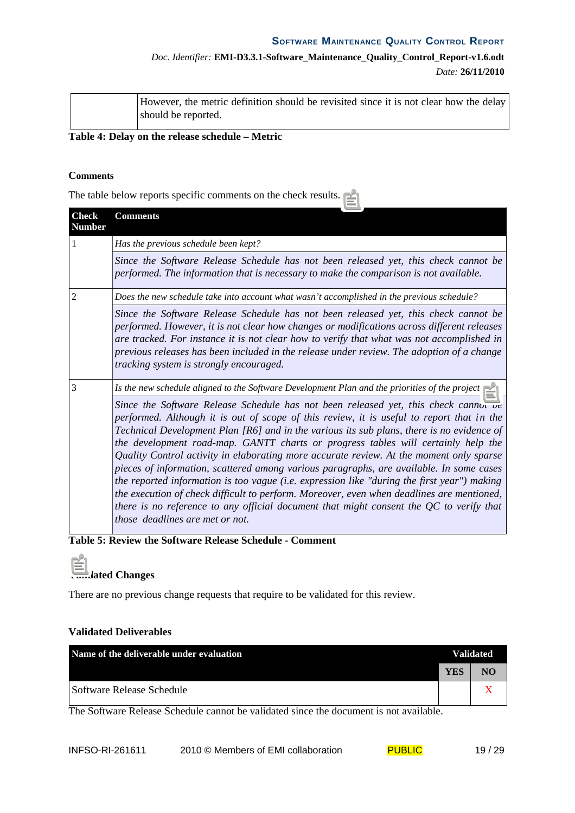## *Doc. Identifier:* **EMI-D3.3.1-Software\_Maintenance\_Quality\_Control\_Report-v1.6.odt** *Date:* **26/11/2010**

|  | However, the metric definition should be revisited since it is not clear how the delay |
|--|----------------------------------------------------------------------------------------|
|  | should be reported.                                                                    |

## **Table 4: Delay on the release schedule – Metric**

#### **Comments**

The table below reports specific comments on the check results.

| <b>Check</b><br><b>Number</b> | <b>Comments</b>                                                                                                                                                                                                                                                                                                                                                                                                                                                                                                                                                                                                                                                                                                                                                                                                                                                                             |
|-------------------------------|---------------------------------------------------------------------------------------------------------------------------------------------------------------------------------------------------------------------------------------------------------------------------------------------------------------------------------------------------------------------------------------------------------------------------------------------------------------------------------------------------------------------------------------------------------------------------------------------------------------------------------------------------------------------------------------------------------------------------------------------------------------------------------------------------------------------------------------------------------------------------------------------|
| 1                             | Has the previous schedule been kept?                                                                                                                                                                                                                                                                                                                                                                                                                                                                                                                                                                                                                                                                                                                                                                                                                                                        |
|                               | Since the Software Release Schedule has not been released yet, this check cannot be<br>performed. The information that is necessary to make the comparison is not available.                                                                                                                                                                                                                                                                                                                                                                                                                                                                                                                                                                                                                                                                                                                |
| $\overline{2}$                | Does the new schedule take into account what wasn't accomplished in the previous schedule?                                                                                                                                                                                                                                                                                                                                                                                                                                                                                                                                                                                                                                                                                                                                                                                                  |
|                               | Since the Software Release Schedule has not been released yet, this check cannot be<br>performed. However, it is not clear how changes or modifications across different releases<br>are tracked. For instance it is not clear how to verify that what was not accomplished in<br>previous releases has been included in the release under review. The adoption of a change<br>tracking system is strongly encouraged.                                                                                                                                                                                                                                                                                                                                                                                                                                                                      |
| З                             | Is the new schedule aligned to the Software Development Plan and the priorities of the project?                                                                                                                                                                                                                                                                                                                                                                                                                                                                                                                                                                                                                                                                                                                                                                                             |
|                               | Since the Software Release Schedule has not been released yet, this check cannot be<br>performed. Although it is out of scope of this review, it is useful to report that in the<br>Technical Development Plan [R6] and in the various its sub plans, there is no evidence of<br>the development road-map. GANTT charts or progress tables will certainly help the<br>Quality Control activity in elaborating more accurate review. At the moment only sparse<br>pieces of information, scattered among various paragraphs, are available. In some cases<br>the reported information is too vague (i.e. expression like "during the first year") making<br>the execution of check difficult to perform. Moreover, even when deadlines are mentioned,<br>there is no reference to any official document that might consent the $QC$ to verify that<br><i>those deadlines are met or not.</i> |

**Table 5: Review the Software Release Schedule - Comment**

## **Validated Changes**

There are no previous change requests that require to be validated for this review.

## **Validated Deliverables**

| Name of the deliverable under evaluation |            | <b>Validated</b> |  |
|------------------------------------------|------------|------------------|--|
|                                          | <b>YES</b> | NO               |  |
| Software Release Schedule                |            |                  |  |

The Software Release Schedule cannot be validated since the document is not available.

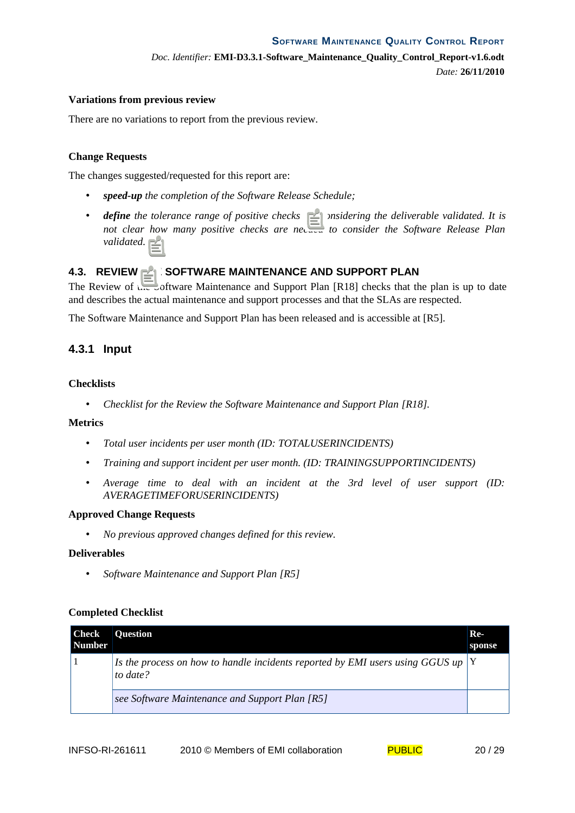#### **Variations from previous review**

There are no variations to report from the previous review.

#### **Change Requests**

The changes suggested/requested for this report are:

- *speed-up the completion of the Software Release Schedule;*
- *define* the tolerance range of positive checks for considering the deliverable validated. It is *not clear how many positive checks are needed to consider the Software Release Plan validated.*

#### **4.3. REVIEW THE SOFTWARE MAINTENANCE AND SUPPORT PLAN**

The Review of the Software Maintenance and Support Plan [R18] checks that the plan is up to date and describes the actual maintenance and support processes and that the SLAs are respected.

The Software Maintenance and Support Plan has been released and is accessible at [R5].

## **4.3.1 Input**

#### **Checklists**

• *Checklist for the Review the Software Maintenance and Support Plan [R18].*

#### **Metrics**

- *Total user incidents per user month (ID: TOTALUSERINCIDENTS)*
- *Training and support incident per user month. (ID: TRAININGSUPPORTINCIDENTS)*
- *Average time to deal with an incident at the 3rd level of user support (ID: AVERAGETIMEFORUSERINCIDENTS)*

#### **Approved Change Requests**

• *No previous approved changes defined for this review.*

#### **Deliverables**

• *Software Maintenance and Support Plan [R5]*

#### **Completed Checklist**

| <b>Check</b><br>  Number | <b>Question</b>                                                                               | <b>Re-</b><br>sponse |
|--------------------------|-----------------------------------------------------------------------------------------------|----------------------|
|                          | Is the process on how to handle incidents reported by EMI users using GGUS up $Y$<br>to date? |                      |
|                          | see Software Maintenance and Support Plan [R5]                                                |                      |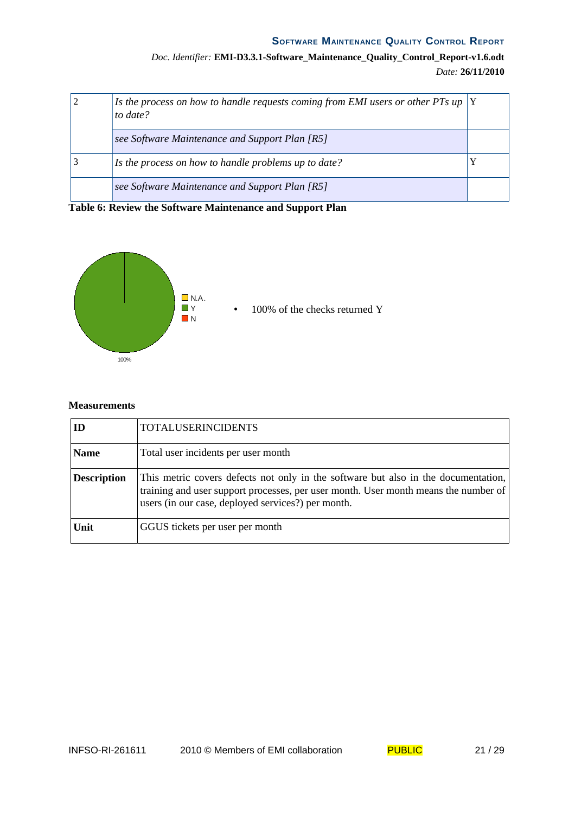| Doc. Identifier: EMI-D3.3.1-Software_Maintenance_Quality_Control_Report-v1.6.odt |  |                  |
|----------------------------------------------------------------------------------|--|------------------|
|                                                                                  |  | Date: 26/11/2010 |

|  | Is the process on how to handle requests coming from EMI users or other PTs up $\vert Y \vert$<br>to date? |  |
|--|------------------------------------------------------------------------------------------------------------|--|
|  | see Software Maintenance and Support Plan [R5]                                                             |  |
|  | Is the process on how to handle problems up to date?                                                       |  |
|  | see Software Maintenance and Support Plan [R5]                                                             |  |

**Table 6: Review the Software Maintenance and Support Plan**



#### **Measurements**

|                    | <b>TOTALUSERINCIDENTS</b>                                                                                                                                                                                                       |
|--------------------|---------------------------------------------------------------------------------------------------------------------------------------------------------------------------------------------------------------------------------|
| <b>Name</b>        | Total user incidents per user month                                                                                                                                                                                             |
| <b>Description</b> | This metric covers defects not only in the software but also in the documentation,<br>training and user support processes, per user month. User month means the number of<br>users (in our case, deployed services?) per month. |
| Unit               | GGUS tickets per user per month                                                                                                                                                                                                 |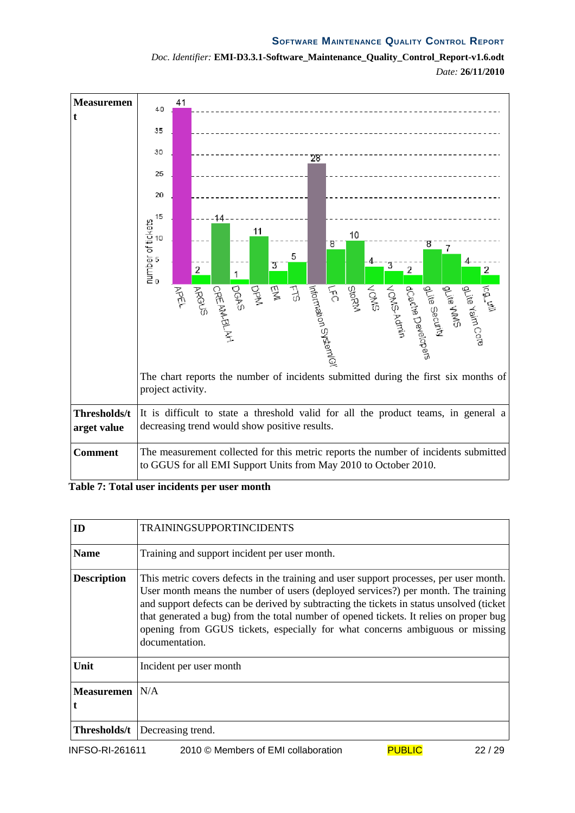

*Doc. Identifier:* **EMI-D3.3.1-Software\_Maintenance\_Quality\_Control\_Report-v1.6.odt** *Date:* **26/11/2010**

**Table 7: Total user incidents per user month**

| ID                 | <b>TRAININGSUPPORTINCIDENTS</b>                                                                                                                                                                                                                                                                                                                                                                                                                                     |
|--------------------|---------------------------------------------------------------------------------------------------------------------------------------------------------------------------------------------------------------------------------------------------------------------------------------------------------------------------------------------------------------------------------------------------------------------------------------------------------------------|
| <b>Name</b>        | Training and support incident per user month.                                                                                                                                                                                                                                                                                                                                                                                                                       |
| <b>Description</b> | This metric covers defects in the training and user support processes, per user month.<br>User month means the number of users (deployed services?) per month. The training<br>and support defects can be derived by subtracting the tickets in status unsolved (ticket<br>that generated a bug) from the total number of opened tickets. It relies on proper bug<br>opening from GGUS tickets, especially for what concerns ambiguous or missing<br>documentation. |
| Unit               | Incident per user month                                                                                                                                                                                                                                                                                                                                                                                                                                             |
| <b>Measuremen</b>  | N/A                                                                                                                                                                                                                                                                                                                                                                                                                                                                 |
| Thresholds/t       | Decreasing trend.                                                                                                                                                                                                                                                                                                                                                                                                                                                   |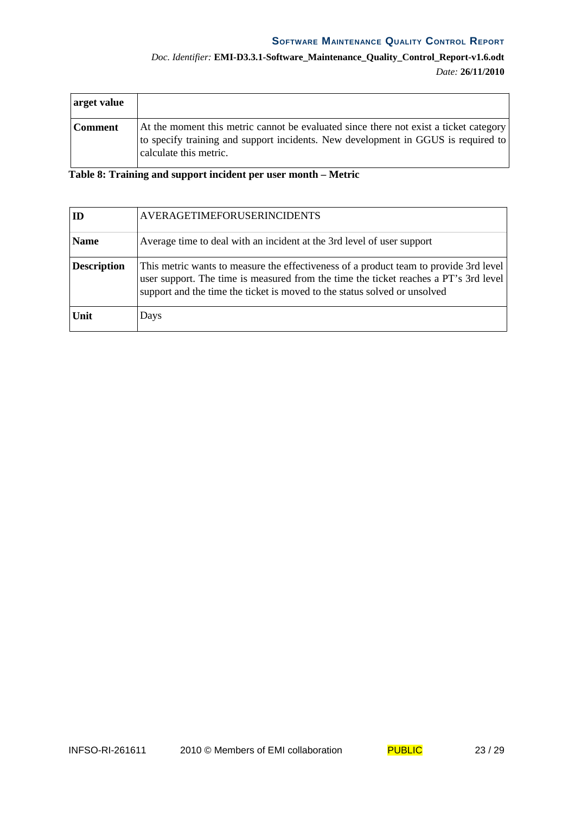## *Doc. Identifier:* **EMI-D3.3.1-Software\_Maintenance\_Quality\_Control\_Report-v1.6.odt** *Date:* **26/11/2010**

| arget value    |                                                                                                                                                                                                      |
|----------------|------------------------------------------------------------------------------------------------------------------------------------------------------------------------------------------------------|
| <b>Comment</b> | At the moment this metric cannot be evaluated since there not exist a ticket category<br>to specify training and support incidents. New development in GGUS is required to<br>calculate this metric. |

## **Table 8: Training and support incident per user month – Metric**

| ID                 | <b>AVERAGETIMEFORUSERINCIDENTS</b>                                                                                                                                                                                                                         |
|--------------------|------------------------------------------------------------------------------------------------------------------------------------------------------------------------------------------------------------------------------------------------------------|
| <b>Name</b>        | Average time to deal with an incident at the 3rd level of user support                                                                                                                                                                                     |
| <b>Description</b> | This metric wants to measure the effectiveness of a product team to provide 3rd level<br>user support. The time is measured from the time the ticket reaches a PT's 3rd level<br>support and the time the ticket is moved to the status solved or unsolved |
| Unit               | Days                                                                                                                                                                                                                                                       |

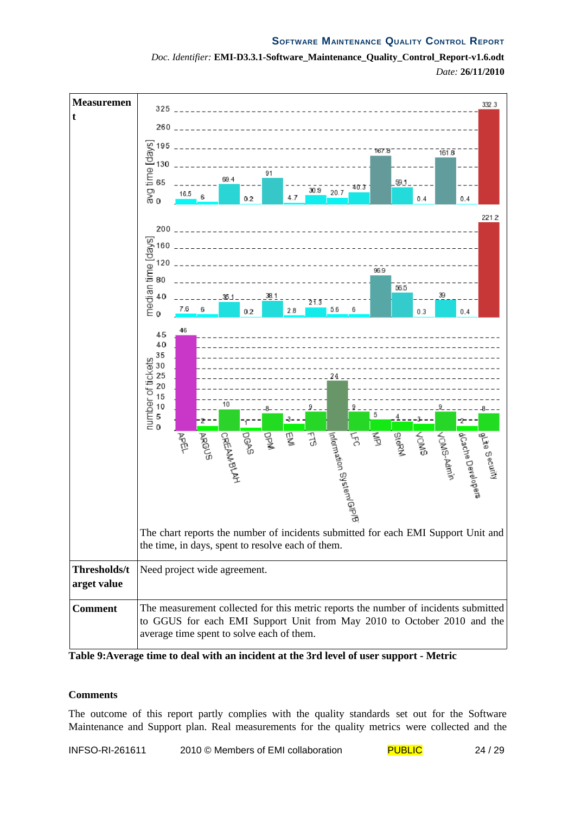

*Doc. Identifier:* **EMI-D3.3.1-Software\_Maintenance\_Quality\_Control\_Report-v1.6.odt** *Date:* **26/11/2010**

**Table 9:Average time to deal with an incident at the 3rd level of user support - Metric**

#### **Comments**

The outcome of this report partly complies with the quality standards set out for the Software Maintenance and Support plan. Real measurements for the quality metrics were collected and the

INFSO-RI-261611 2010 © Members of EMI collaboration PUBLIC 24 / 29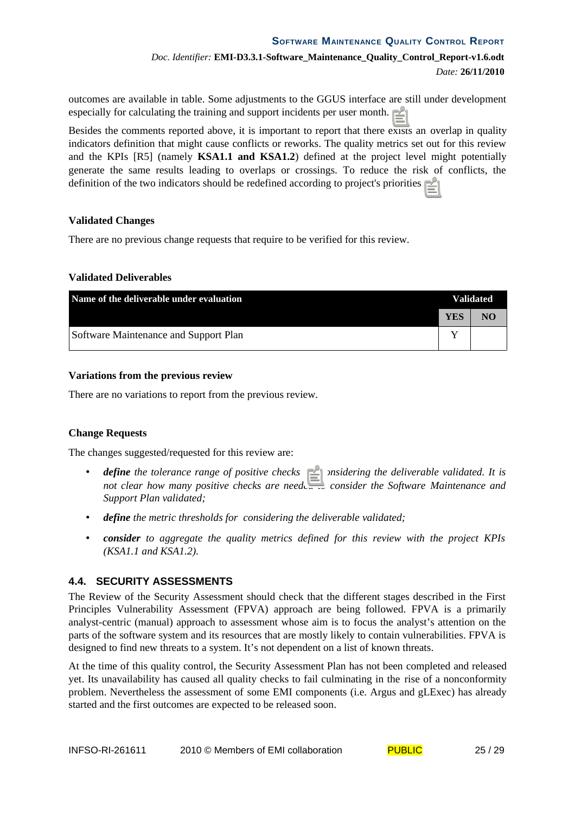## **SOFTWARE MAINTENANCE QUALITY CONTROL REPORT** *Doc. Identifier:* **EMI-D3.3.1-Software\_Maintenance\_Quality\_Control\_Report-v1.6.odt** *Date:* **26/11/2010**

outcomes are available in table. Some adjustments to the GGUS interface are still under development especially for calculating the training and support incidents per user month..

Besides the comments reported above, it is important to report that there exists an overlap in quality indicators definition that might cause conflicts or reworks. The quality metrics set out for this review and the KPIs [R5] (namely **KSA1.1 and KSA1.2**) defined at the project level might potentially generate the same results leading to overlaps or crossings. To reduce the risk of conflicts, the definition of the two indicators should be redefined according to project's priorities.

#### **Validated Changes**

There are no previous change requests that require to be verified for this review.

#### **Validated Deliverables**

| Name of the deliverable under evaluation |            | <b>Validated</b> |  |
|------------------------------------------|------------|------------------|--|
|                                          | <b>YES</b> | NO               |  |
| Software Maintenance and Support Plan    |            |                  |  |

#### **Variations from the previous review**

There are no variations to report from the previous review.

## **Change Requests**

The changes suggested/requested for this review are:

- *define the tolerance range of positive checks for considering the deliverable validated. It is not clear how many positive checks are needed to consider the Software Maintenance and Support Plan validated;*
- *define the metric thresholds for considering the deliverable validated;*
- *consider to aggregate the quality metrics defined for this review with the project KPIs (KSA1.1 and KSA1.2).*

## **4.4. SECURITY ASSESSMENTS**

The Review of the Security Assessment should check that the different stages described in the First Principles Vulnerability Assessment (FPVA) approach are being followed. FPVA is a primarily analyst-centric (manual) approach to assessment whose aim is to focus the analyst's attention on the parts of the software system and its resources that are mostly likely to contain vulnerabilities. FPVA is designed to find new threats to a system. It's not dependent on a list of known threats.

At the time of this quality control, the Security Assessment Plan has not been completed and released yet. Its unavailability has caused all quality checks to fail culminating in the rise of a nonconformity problem. Nevertheless the assessment of some EMI components (i.e. Argus and gLExec) has already started and the first outcomes are expected to be released soon.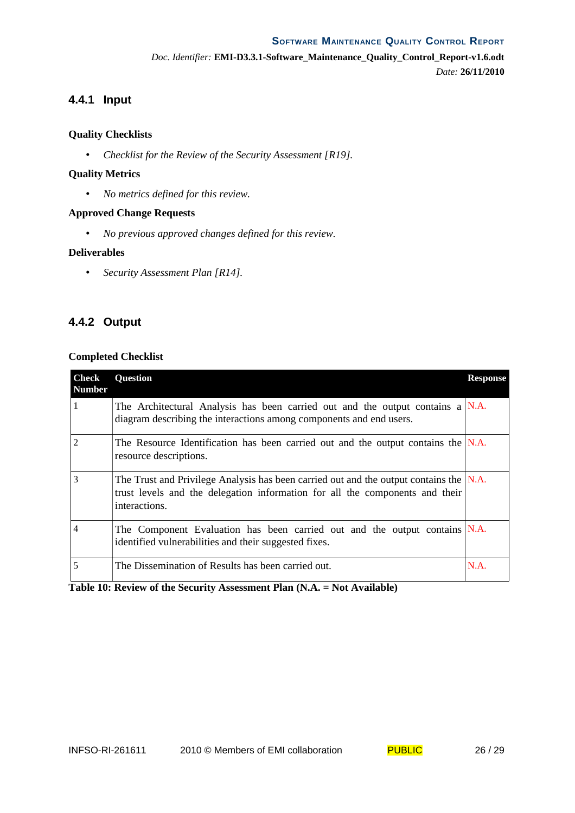*Doc. Identifier:* **EMI-D3.3.1-Software\_Maintenance\_Quality\_Control\_Report-v1.6.odt** *Date:* **26/11/2010**

## **4.4.1 Input**

#### **Quality Checklists**

• *Checklist for the Review of the Security Assessment [R19].*

#### **Quality Metrics**

• *No metrics defined for this review.*

#### **Approved Change Requests**

• *No previous approved changes defined for this review.*

#### **Deliverables**

• *Security Assessment Plan [R14].*

## **4.4.2 Output**

#### **Completed Checklist**

| <b>Check</b><br><b>Number</b> | <b>Question</b>                                                                                                                                                                            | <b>Response</b> |
|-------------------------------|--------------------------------------------------------------------------------------------------------------------------------------------------------------------------------------------|-----------------|
| 1                             | The Architectural Analysis has been carried out and the output contains a $N.A$ .<br>diagram describing the interactions among components and end users.                                   |                 |
| $\overline{2}$                | The Resource Identification has been carried out and the output contains the $N.A$ .<br>resource descriptions.                                                                             |                 |
| 3                             | The Trust and Privilege Analysis has been carried out and the output contains the $ N.A.$<br>trust levels and the delegation information for all the components and their<br>interactions. |                 |
| 4                             | The Component Evaluation has been carried out and the output contains N.A.<br>identified vulnerabilities and their suggested fixes.                                                        |                 |
| 5                             | The Dissemination of Results has been carried out.                                                                                                                                         | N.A.            |

**Table 10: Review of the Security Assessment Plan (N.A. = Not Available)**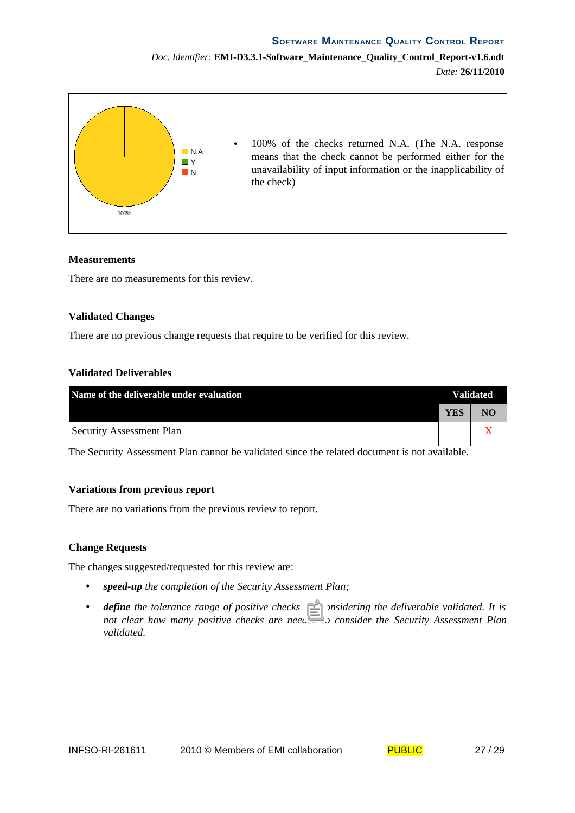## *Doc. Identifier:* **EMI-D3.3.1-Software\_Maintenance\_Quality\_Control\_Report-v1.6.odt** *Date:* **26/11/2010**



#### **Measurements**

There are no measurements for this review.

#### **Validated Changes**

There are no previous change requests that require to be verified for this review.

#### **Validated Deliverables**

| Name of the deliverable under evaluation |            | <b>Validated</b> |  |
|------------------------------------------|------------|------------------|--|
|                                          | <b>YES</b> | NO               |  |
| Security Assessment Plan                 |            |                  |  |

The Security Assessment Plan cannot be validated since the related document is not available.

#### **Variations from previous report**

There are no variations from the previous review to report.

#### **Change Requests**

The changes suggested/requested for this review are:

- *speed-up the completion of the Security Assessment Plan;*
- *define the tolerance range of positive checks for considering the deliverable validated. It is not clear how many positive checks are needed to consider the Security Assessment Plan validated.*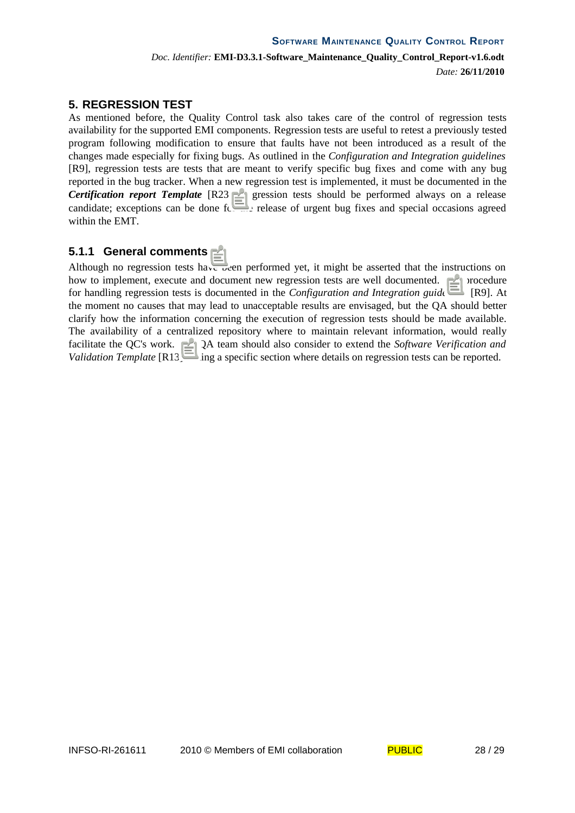## **5. REGRESSION TEST**

As mentioned before, the Quality Control task also takes care of the control of regression tests availability for the supported EMI components. Regression tests are useful to retest a previously tested program following modification to ensure that faults have not been introduced as a result of the changes made especially for fixing bugs. As outlined in the *Configuration and Integration guidelines* [R9], regression tests are tests that are meant to verify specific bug fixes and come with any bug reported in the bug tracker. When a new regression test is implemented, it must be documented in the *Certification report Template* [R23]. Regression tests should be performed always on a release candidate; exceptions can be done for the release of urgent bug fixes and special occasions agreed within the EMT.

## **5.1.1 General comments**

Although no regression tests have been performed yet, it might be asserted that the instructions on how to implement, execute and document new regression tests are well documented. The procedure for handling regression tests is documented in the *Configuration and Integration guidelines* [R9]. At the moment no causes that may lead to unacceptable results are envisaged, but the QA should better clarify how the information concerning the execution of regression tests should be made available. The availability of a centralized repository where to maintain relevant information, would really facilitate the QC's work. The QA team should also consider to extend the *Software Verification and Validation Template* [R13] adding a specific section where details on regression tests can be reported.